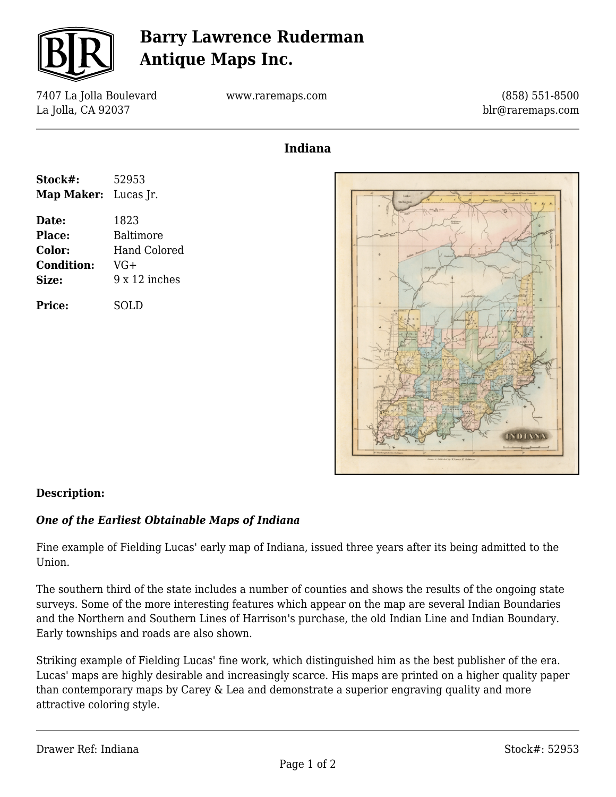

# **Barry Lawrence Ruderman Antique Maps Inc.**

7407 La Jolla Boulevard La Jolla, CA 92037

www.raremaps.com

(858) 551-8500 blr@raremaps.com

### **Indiana**

| Stock#:                     | 52953                |
|-----------------------------|----------------------|
| <b>Map Maker:</b> Lucas Jr. |                      |
| Date:                       | 1823                 |
| Place:                      | Baltimore            |
| <b>Color:</b>               | Hand Colored         |
| <b>Condition:</b>           | VG+                  |
| Size:                       | $9 \times 12$ inches |
| <b>Price:</b>               | SOL D                |



### **Description:**

#### *One of the Earliest Obtainable Maps of Indiana*

Fine example of Fielding Lucas' early map of Indiana, issued three years after its being admitted to the Union.

The southern third of the state includes a number of counties and shows the results of the ongoing state surveys. Some of the more interesting features which appear on the map are several Indian Boundaries and the Northern and Southern Lines of Harrison's purchase, the old Indian Line and Indian Boundary. Early townships and roads are also shown.

Striking example of Fielding Lucas' fine work, which distinguished him as the best publisher of the era. Lucas' maps are highly desirable and increasingly scarce. His maps are printed on a higher quality paper than contemporary maps by Carey & Lea and demonstrate a superior engraving quality and more attractive coloring style.